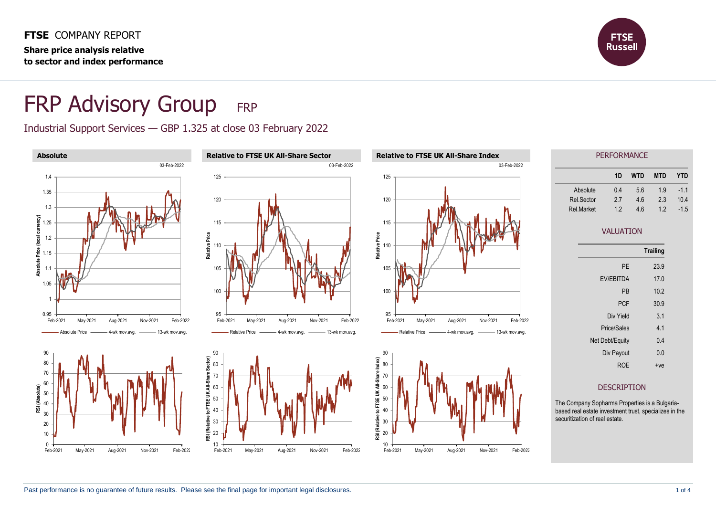**FTSE** COMPANY REPORT **Share price analysis relative to sector and index performance**



# FRP Advisory Group FRP

Industrial Support Services — GBP 1.325 at close 03 February 2022



| PEREURMANUE       |    |     |            |        |
|-------------------|----|-----|------------|--------|
|                   | 1D | WTD | <b>MTD</b> | YTD    |
| Absolute          | 04 | 56  | 19         | $-1.1$ |
| Rel.Sector        | 27 | 46  | 23         | 10.4   |
| <b>Rel</b> Market | 12 | 46  | 12         | $-1.5$ |

### VALUATION

|                  | <b>Trailing</b> |
|------------------|-----------------|
| PF               | 23.9            |
| <b>EV/EBITDA</b> | 17.0            |
| PB               | 102             |
| <b>PCF</b>       | 30.9            |
| Div Yield        | 3.1             |
| Price/Sales      | 41              |
| Net Debt/Equity  | 0 <sub>4</sub>  |
| Div Payout       | 0.0             |
| ROE              | $+ve$           |

#### DESCRIPTION

The Company Sopharma Properties is a Bulgariabased real estate investment trust, specializes in the securitization of real estate.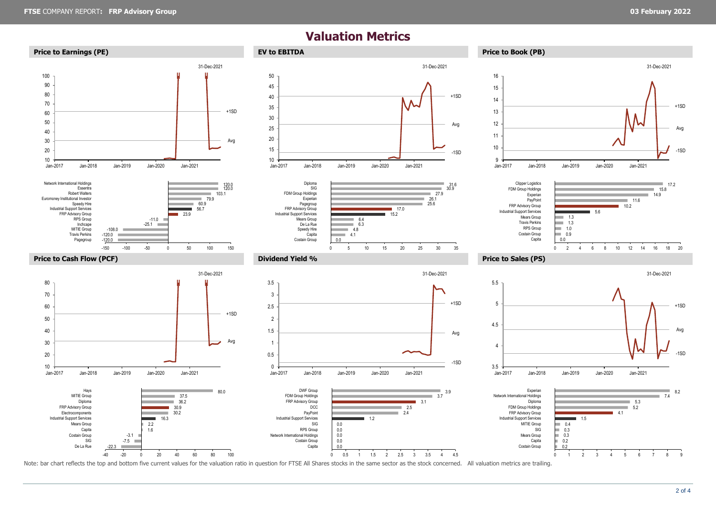-1SD

+1SD

Avg

## **Valuation Metrics**



Note: bar chart reflects the top and bottom five current values for the valuation ratio in question for FTSE All Shares stocks in the same sector as the stock concerned. All valuation metrics are trailing.

-1SD

+1SD

Avg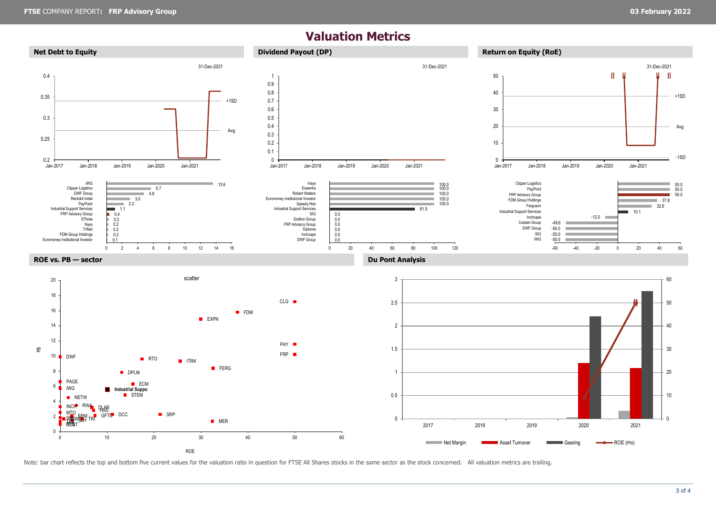## **Valuation Metrics**



Note: bar chart reflects the top and bottom five current values for the valuation ratio in question for FTSE All Shares stocks in the same sector as the stock concerned. All valuation metrics are trailing.